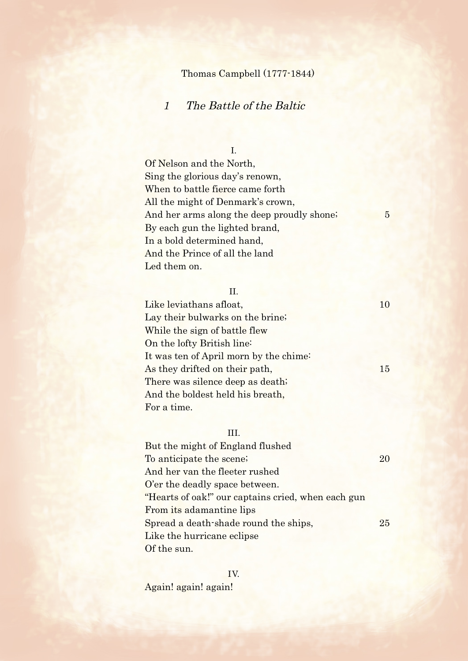# Thomas Campbell (1777-1844)

# 1 The Battle of the Baltic

## I.

Of Nelson and the North, Sing the glorious day's renown, When to battle fierce came forth All the might of Denmark's crown, And her arms along the deep proudly shone; 5 By each gun the lighted brand, In a bold determined hand, And the Prince of all the land Led them on.

### II.

Like leviathans afloat, 10 Lay their bulwarks on the brine; While the sign of battle flew On the lofty British line: It was ten of April morn by the chime: As they drifted on their path, 15 There was silence deep as death; And the boldest held his breath, For a time.

### III.

| But the might of England flushed                   |    |
|----------------------------------------------------|----|
| To anticipate the scene;                           | 20 |
| And her van the fleeter rushed                     |    |
| O'er the deadly space between.                     |    |
| "Hearts of oak!" our captains cried, when each gun |    |
| From its adamantine lips                           |    |
| Spread a death-shade round the ships,              | 25 |
| Like the hurricane eclipse                         |    |
| Of the sun.                                        |    |

IV. Again! again! again!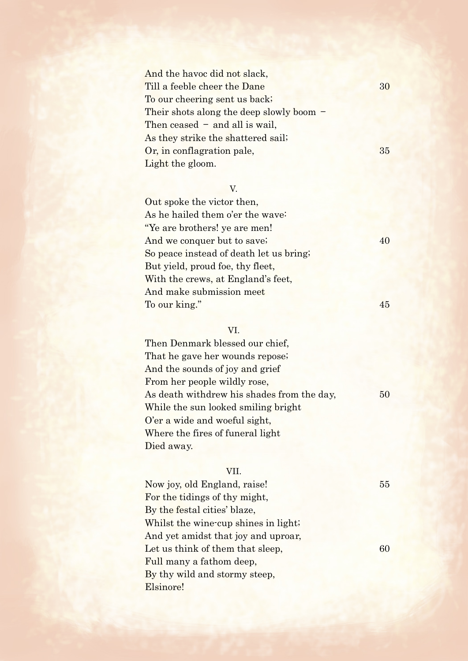And the havoc did not slack, Till a feeble cheer the Dane 30 To our cheering sent us back; Their shots along the deep slowly boom – Then ceased  $-$  and all is wail, As they strike the shattered sail; Or, in conflagration pale, 35 Light the gloom.

### V.

Out spoke the victor then, As he hailed them o'er the wave: "Ye are brothers! ye are men! And we conquer but to save; 40 So peace instead of death let us bring; But yield, proud foe, thy fleet, With the crews, at England's feet, And make submission meet To our king." 45

#### VI.

Then Denmark blessed our chief, That he gave her wounds repose; And the sounds of joy and grief From her people wildly rose, As death withdrew his shades from the day, 50 While the sun looked smiling bright O'er a wide and woeful sight, Where the fires of funeral light Died away.

### VII.

Now joy, old England, raise! 55 For the tidings of thy might, By the festal cities' blaze, Whilst the wine-cup shines in light; And yet amidst that joy and uproar, Let us think of them that sleep,  $60$ Full many a fathom deep, By thy wild and stormy steep, Elsinore!